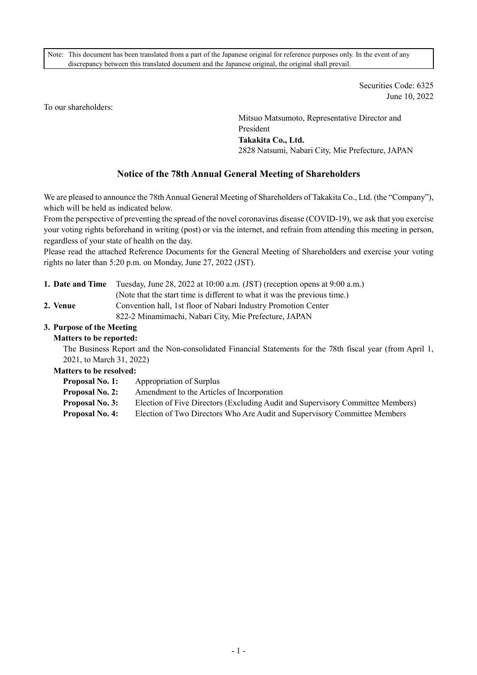Note: This document has been translated from a part of the Japanese original for reference purposes only. In the event of any discrepancy between this translated document and the Japanese original, the original shall prevail.

> Securities Code: 6325 June 10, 2022

To our shareholders:

Mitsuo Matsumoto, Representative Director and President **Takakita Co., Ltd.**  2828 Natsumi, Nabari City, Mie Prefecture, JAPAN

# **Notice of the 78th Annual General Meeting of Shareholders**

We are pleased to announce the 78th Annual General Meeting of Shareholders of Takakita Co., Ltd. (the "Company"), which will be held as indicated below.

From the perspective of preventing the spread of the novel coronavirus disease (COVID-19), we ask that you exercise your voting rights beforehand in writing (post) or via the internet, and refrain from attending this meeting in person, regardless of your state of health on the day.

Please read the attached Reference Documents for the General Meeting of Shareholders and exercise your voting rights no later than 5:20 p.m. on Monday, June 27, 2022 (JST).

- **1. Date and Time** Tuesday, June 28, 2022 at 10:00 a.m. (JST) (reception opens at 9:00 a.m.)
	- (Note that the start time is different to what it was the previous time.)
- 2. Venue Convention hall, 1st floor of Nabari Industry Promotion Center

822-2 Minamimachi, Nabari City, Mie Prefecture, JAPAN

# **3. Purpose of the Meeting**

## **Matters to be reported:**

The Business Report and the Non-consolidated Financial Statements for the 78th fiscal year (from April 1, 2021, to March 31, 2022)

## **Matters to be resolved:**

**Proposal No. 1:** Appropriation of Surplus

- **Proposal No. 2:** Amendment to the Articles of Incorporation
- **Proposal No. 3:** Election of Five Directors (Excluding Audit and Supervisory Committee Members)
- **Proposal No. 4:** Election of Two Directors Who Are Audit and Supervisory Committee Members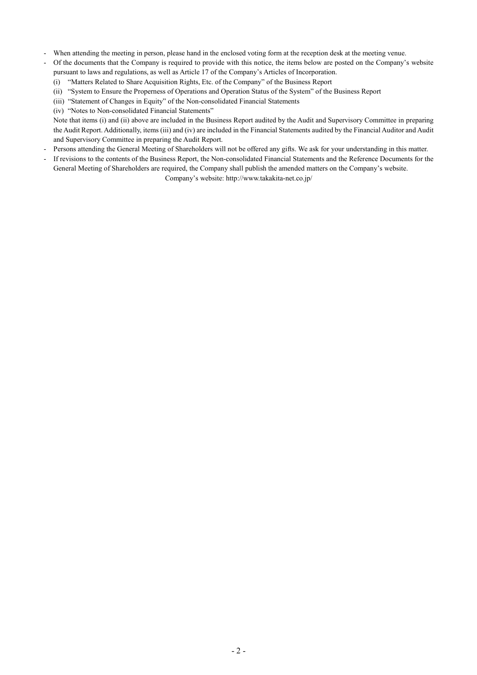- When attending the meeting in person, please hand in the enclosed voting form at the reception desk at the meeting venue.
- Of the documents that the Company is required to provide with this notice, the items below are posted on the Company's website pursuant to laws and regulations, as well as Article 17 of the Company's Articles of Incorporation.
	- (i) "Matters Related to Share Acquisition Rights, Etc. of the Company" of the Business Report
	- (ii) "System to Ensure the Properness of Operations and Operation Status of the System" of the Business Report
	- (iii) "Statement of Changes in Equity" of the Non-consolidated Financial Statements
	- (iv) "Notes to Non-consolidated Financial Statements"

Note that items (i) and (ii) above are included in the Business Report audited by the Audit and Supervisory Committee in preparing the Audit Report. Additionally, items (iii) and (iv) are included in the Financial Statements audited by the Financial Auditor and Audit and Supervisory Committee in preparing the Audit Report.

- Persons attending the General Meeting of Shareholders will not be offered any gifts. We ask for your understanding in this matter.
- If revisions to the contents of the Business Report, the Non-consolidated Financial Statements and the Reference Documents for the General Meeting of Shareholders are required, the Company shall publish the amended matters on the Company's website.

Company's website: http://www.takakita-net.co.jp/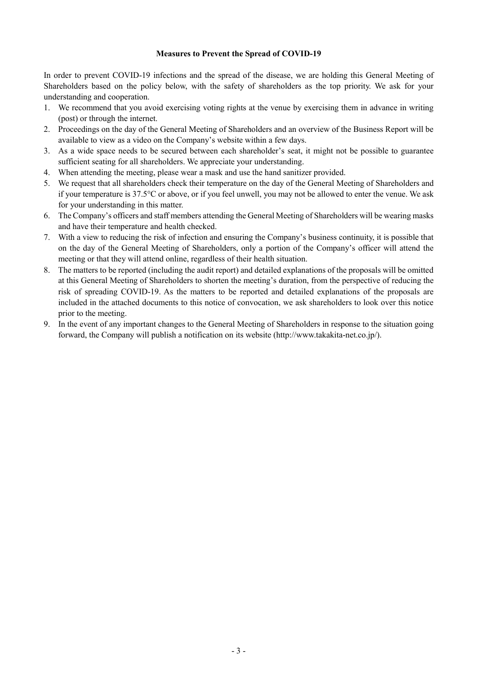#### **Measures to Prevent the Spread of COVID-19**

In order to prevent COVID-19 infections and the spread of the disease, we are holding this General Meeting of Shareholders based on the policy below, with the safety of shareholders as the top priority. We ask for your understanding and cooperation.

- 1. We recommend that you avoid exercising voting rights at the venue by exercising them in advance in writing (post) or through the internet.
- 2. Proceedings on the day of the General Meeting of Shareholders and an overview of the Business Report will be available to view as a video on the Company's website within a few days.
- 3. As a wide space needs to be secured between each shareholder's seat, it might not be possible to guarantee sufficient seating for all shareholders. We appreciate your understanding.
- 4. When attending the meeting, please wear a mask and use the hand sanitizer provided.
- 5. We request that all shareholders check their temperature on the day of the General Meeting of Shareholders and if your temperature is 37.5°C or above, or if you feel unwell, you may not be allowed to enter the venue. We ask for your understanding in this matter.
- 6. The Company's officers and staff members attending the General Meeting of Shareholders will be wearing masks and have their temperature and health checked.
- 7. With a view to reducing the risk of infection and ensuring the Company's business continuity, it is possible that on the day of the General Meeting of Shareholders, only a portion of the Company's officer will attend the meeting or that they will attend online, regardless of their health situation.
- 8. The matters to be reported (including the audit report) and detailed explanations of the proposals will be omitted at this General Meeting of Shareholders to shorten the meeting's duration, from the perspective of reducing the risk of spreading COVID-19. As the matters to be reported and detailed explanations of the proposals are included in the attached documents to this notice of convocation, we ask shareholders to look over this notice prior to the meeting.
- 9. In the event of any important changes to the General Meeting of Shareholders in response to the situation going forward, the Company will publish a notification on its website (http://www.takakita-net.co.jp/).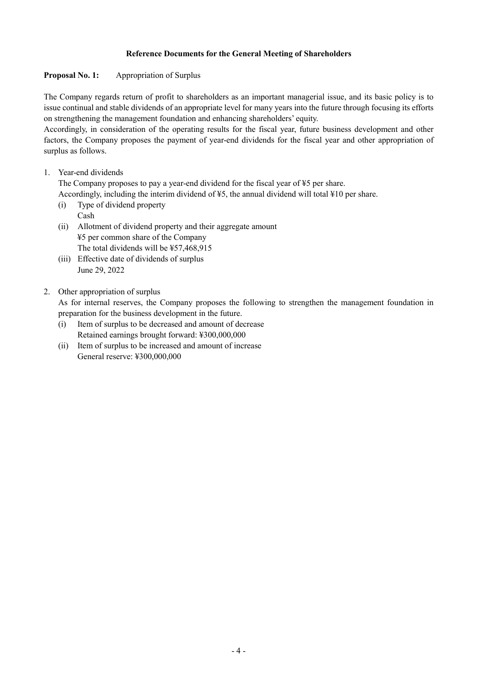## **Reference Documents for the General Meeting of Shareholders**

# **Proposal No. 1:** Appropriation of Surplus

The Company regards return of profit to shareholders as an important managerial issue, and its basic policy is to issue continual and stable dividends of an appropriate level for many years into the future through focusing its efforts on strengthening the management foundation and enhancing shareholders' equity.

Accordingly, in consideration of the operating results for the fiscal year, future business development and other factors, the Company proposes the payment of year-end dividends for the fiscal year and other appropriation of surplus as follows.

1. Year-end dividends

The Company proposes to pay a year-end dividend for the fiscal year of ¥5 per share.

Accordingly, including the interim dividend of ¥5, the annual dividend will total ¥10 per share.

- (i) Type of dividend property Cash
- (ii) Allotment of dividend property and their aggregate amount ¥5 per common share of the Company The total dividends will be ¥57,468,915
- (iii) Effective date of dividends of surplus June 29, 2022
- 2. Other appropriation of surplus

As for internal reserves, the Company proposes the following to strengthen the management foundation in preparation for the business development in the future.

- (i) Item of surplus to be decreased and amount of decrease Retained earnings brought forward: ¥300,000,000
- (ii) Item of surplus to be increased and amount of increase General reserve: ¥300,000,000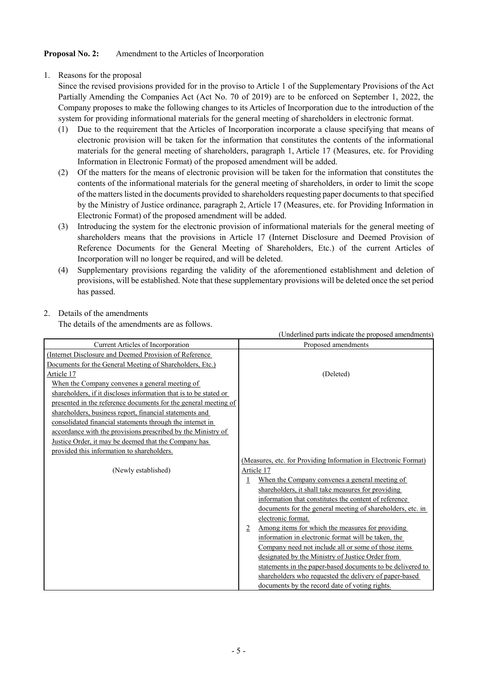### **Proposal No. 2:** Amendment to the Articles of Incorporation

1. Reasons for the proposal

Since the revised provisions provided for in the proviso to Article 1 of the Supplementary Provisions of the Act Partially Amending the Companies Act (Act No. 70 of 2019) are to be enforced on September 1, 2022, the Company proposes to make the following changes to its Articles of Incorporation due to the introduction of the system for providing informational materials for the general meeting of shareholders in electronic format.

- (1) Due to the requirement that the Articles of Incorporation incorporate a clause specifying that means of electronic provision will be taken for the information that constitutes the contents of the informational materials for the general meeting of shareholders, paragraph 1, Article 17 (Measures, etc. for Providing Information in Electronic Format) of the proposed amendment will be added.
- (2) Of the matters for the means of electronic provision will be taken for the information that constitutes the contents of the informational materials for the general meeting of shareholders, in order to limit the scope of the matters listed in the documents provided to shareholders requesting paper documents to that specified by the Ministry of Justice ordinance, paragraph 2, Article 17 (Measures, etc. for Providing Information in Electronic Format) of the proposed amendment will be added.
- (3) Introducing the system for the electronic provision of informational materials for the general meeting of shareholders means that the provisions in Article 17 (Internet Disclosure and Deemed Provision of Reference Documents for the General Meeting of Shareholders, Etc.) of the current Articles of Incorporation will no longer be required, and will be deleted.
- (4) Supplementary provisions regarding the validity of the aforementioned establishment and deletion of provisions, will be established. Note that these supplementary provisions will be deleted once the set period has passed.

## 2. Details of the amendments

The details of the amendments are as follows.

|                                                                   | (Underlined parts indicate the proposed amendments)                |
|-------------------------------------------------------------------|--------------------------------------------------------------------|
| <b>Current Articles of Incorporation</b>                          | Proposed amendments                                                |
| (Internet Disclosure and Deemed Provision of Reference)           |                                                                    |
| Documents for the General Meeting of Shareholders, Etc.)          |                                                                    |
| Article 17                                                        | (Deleted)                                                          |
| When the Company convenes a general meeting of                    |                                                                    |
| shareholders, if it discloses information that is to be stated or |                                                                    |
| presented in the reference documents for the general meeting of   |                                                                    |
| shareholders, business report, financial statements and           |                                                                    |
| consolidated financial statements through the internet in         |                                                                    |
| accordance with the provisions prescribed by the Ministry of      |                                                                    |
| Justice Order, it may be deemed that the Company has              |                                                                    |
| provided this information to shareholders.                        |                                                                    |
|                                                                   | (Measures, etc. for Providing Information in Electronic Format)    |
| (Newly established)                                               | Article 17                                                         |
|                                                                   | When the Company convenes a general meeting of<br>1                |
|                                                                   | shareholders, it shall take measures for providing                 |
|                                                                   | information that constitutes the content of reference              |
|                                                                   | documents for the general meeting of shareholders, etc. in         |
|                                                                   | electronic format.                                                 |
|                                                                   | Among items for which the measures for providing<br>$\overline{2}$ |
|                                                                   | information in electronic format will be taken, the                |
|                                                                   | Company need not include all or some of those items                |
|                                                                   | designated by the Ministry of Justice Order from                   |
|                                                                   | statements in the paper-based documents to be delivered to         |
|                                                                   | shareholders who requested the delivery of paper-based             |
|                                                                   | documents by the record date of voting rights.                     |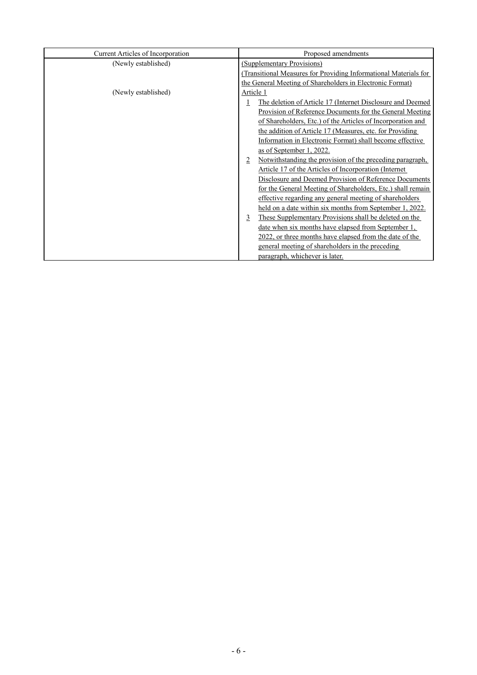| Current Articles of Incorporation | Proposed amendments                                             |  |  |
|-----------------------------------|-----------------------------------------------------------------|--|--|
| (Newly established)               | (Supplementary Provisions)                                      |  |  |
|                                   | Transitional Measures for Providing Informational Materials for |  |  |
|                                   | the General Meeting of Shareholders in Electronic Format)       |  |  |
| (Newly established)               | Article 1                                                       |  |  |
|                                   | The deletion of Article 17 (Internet Disclosure and Deemed      |  |  |
|                                   | Provision of Reference Documents for the General Meeting        |  |  |
|                                   | of Shareholders, Etc.) of the Articles of Incorporation and     |  |  |
|                                   | the addition of Article 17 (Measures, etc. for Providing        |  |  |
|                                   | Information in Electronic Format) shall become effective        |  |  |
|                                   | as of September 1, 2022.                                        |  |  |
|                                   | Notwithstanding the provision of the preceding paragraph,<br>2  |  |  |
|                                   | Article 17 of the Articles of Incorporation (Internet)          |  |  |
|                                   | Disclosure and Deemed Provision of Reference Documents          |  |  |
|                                   | for the General Meeting of Shareholders, Etc.) shall remain     |  |  |
|                                   | effective regarding any general meeting of shareholders         |  |  |
|                                   | held on a date within six months from September 1, 2022.        |  |  |
|                                   | These Supplementary Provisions shall be deleted on the<br>3     |  |  |
|                                   | date when six months have elapsed from September 1,             |  |  |
|                                   | 2022, or three months have elapsed from the date of the         |  |  |
|                                   | general meeting of shareholders in the preceding                |  |  |
|                                   | paragraph, whichever is later.                                  |  |  |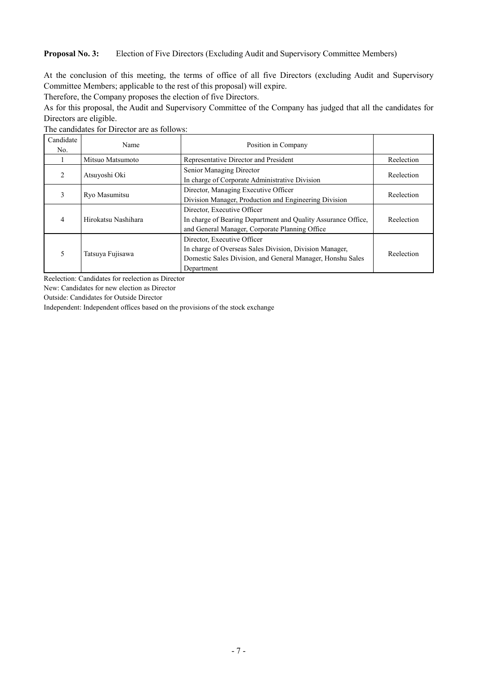#### **Proposal No. 3:** Election of Five Directors (Excluding Audit and Supervisory Committee Members)

At the conclusion of this meeting, the terms of office of all five Directors (excluding Audit and Supervisory Committee Members; applicable to the rest of this proposal) will expire.

Therefore, the Company proposes the election of five Directors.

As for this proposal, the Audit and Supervisory Committee of the Company has judged that all the candidates for Directors are eligible.

The candidates for Director are as follows:

| Candidate<br>No. | Name                | Position in Company                                                                                                                                                |            |
|------------------|---------------------|--------------------------------------------------------------------------------------------------------------------------------------------------------------------|------------|
|                  | Mitsuo Matsumoto    | Representative Director and President                                                                                                                              | Reelection |
| 2                | Atsuyoshi Oki       | Senior Managing Director<br>In charge of Corporate Administrative Division                                                                                         | Reelection |
| 3                | Ryo Masumitsu       | Director, Managing Executive Officer<br>Division Manager, Production and Engineering Division                                                                      | Reelection |
| 4                | Hirokatsu Nashihara | Director, Executive Officer<br>In charge of Bearing Department and Quality Assurance Office,<br>and General Manager, Corporate Planning Office                     | Reelection |
| 5                | Tatsuya Fujisawa    | Director, Executive Officer<br>In charge of Overseas Sales Division, Division Manager,<br>Domestic Sales Division, and General Manager, Honshu Sales<br>Department | Reelection |

Reelection: Candidates for reelection as Director

New: Candidates for new election as Director

Outside: Candidates for Outside Director

Independent: Independent offices based on the provisions of the stock exchange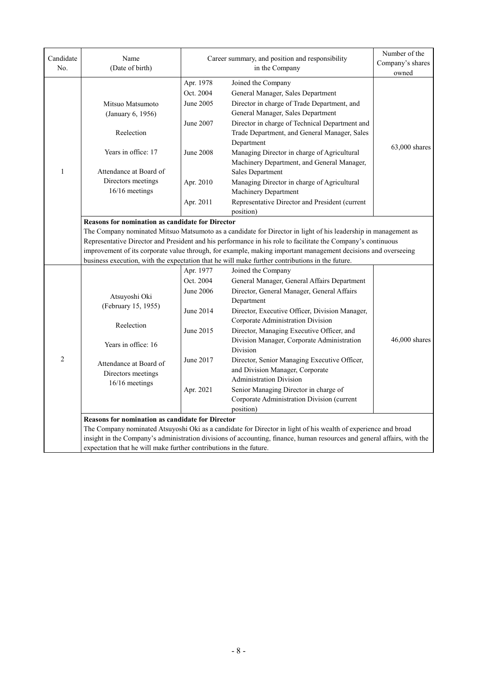| Candidate<br>No. | Name<br>(Date of birth)                                                                                                                                                                                                                                                                                                                                                                                                                                                                                                    | Career summary, and position and responsibility                                                | Number of the<br>Company's shares<br>owned                                                                                                                                                                                                                                                                                                                                                                                                                                                                                                           |               |  |  |
|------------------|----------------------------------------------------------------------------------------------------------------------------------------------------------------------------------------------------------------------------------------------------------------------------------------------------------------------------------------------------------------------------------------------------------------------------------------------------------------------------------------------------------------------------|------------------------------------------------------------------------------------------------|------------------------------------------------------------------------------------------------------------------------------------------------------------------------------------------------------------------------------------------------------------------------------------------------------------------------------------------------------------------------------------------------------------------------------------------------------------------------------------------------------------------------------------------------------|---------------|--|--|
| $\mathbf{1}$     | Mitsuo Matsumoto<br>(January 6, 1956)<br>Reelection<br>Years in office: 17<br>Attendance at Board of<br>Directors meetings<br>16/16 meetings                                                                                                                                                                                                                                                                                                                                                                               | Apr. 1978<br>Oct. 2004<br>June 2005<br>June 2007<br><b>June 2008</b><br>Apr. 2010<br>Apr. 2011 | Joined the Company<br>General Manager, Sales Department<br>Director in charge of Trade Department, and<br>General Manager, Sales Department<br>Director in charge of Technical Department and<br>Trade Department, and General Manager, Sales<br>Department<br>Managing Director in charge of Agricultural<br>Machinery Department, and General Manager,<br>Sales Department<br>Managing Director in charge of Agricultural<br>Machinery Department<br>Representative Director and President (current                                                | 63,000 shares |  |  |
|                  | position)<br><b>Reasons for nomination as candidate for Director</b><br>The Company nominated Mitsuo Matsumoto as a candidate for Director in light of his leadership in management as<br>Representative Director and President and his performance in his role to facilitate the Company's continuous<br>improvement of its corporate value through, for example, making important management decisions and overseeing<br>business execution, with the expectation that he will make further contributions in the future. |                                                                                                |                                                                                                                                                                                                                                                                                                                                                                                                                                                                                                                                                      |               |  |  |
| $\overline{c}$   | Atsuyoshi Oki<br>(February 15, 1955)<br>Reelection<br>Years in office: 16<br>Attendance at Board of<br>Directors meetings<br>16/16 meetings                                                                                                                                                                                                                                                                                                                                                                                | Apr. 1977<br>Oct. 2004<br>June 2006<br>June 2014<br>June 2015<br>June 2017<br>Apr. 2021        | Joined the Company<br>General Manager, General Affairs Department<br>Director, General Manager, General Affairs<br>Department<br>Director, Executive Officer, Division Manager,<br>Corporate Administration Division<br>Director, Managing Executive Officer, and<br>Division Manager, Corporate Administration<br>Division<br>Director, Senior Managing Executive Officer,<br>and Division Manager, Corporate<br><b>Administration Division</b><br>Senior Managing Director in charge of<br>Corporate Administration Division (current<br>position) | 46,000 shares |  |  |
|                  | Reasons for nomination as candidate for Director<br>expectation that he will make further contributions in the future.                                                                                                                                                                                                                                                                                                                                                                                                     |                                                                                                | The Company nominated Atsuyoshi Oki as a candidate for Director in light of his wealth of experience and broad<br>insight in the Company's administration divisions of accounting, finance, human resources and general affairs, with the                                                                                                                                                                                                                                                                                                            |               |  |  |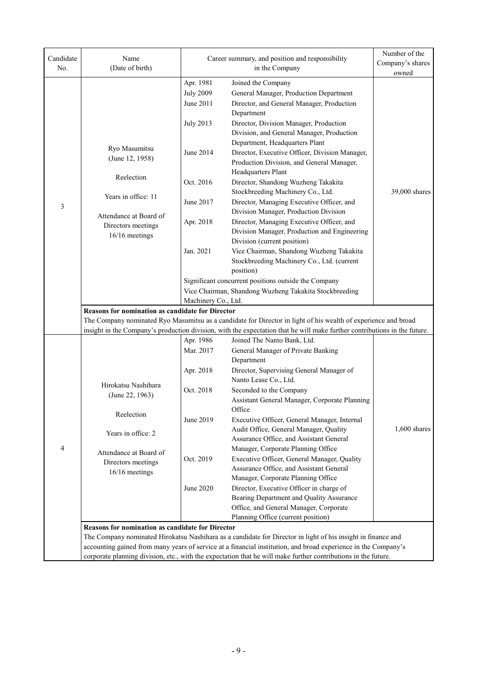|                                                                     | Apr. 1981<br><b>July 2009</b>                                                                                                                                                                                                                                                                                                                                                                               |                                                                                                                                                                                                                | owned          |  |  |
|---------------------------------------------------------------------|-------------------------------------------------------------------------------------------------------------------------------------------------------------------------------------------------------------------------------------------------------------------------------------------------------------------------------------------------------------------------------------------------------------|----------------------------------------------------------------------------------------------------------------------------------------------------------------------------------------------------------------|----------------|--|--|
|                                                                     | June 2011<br><b>July 2013</b>                                                                                                                                                                                                                                                                                                                                                                               | Joined the Company<br>General Manager, Production Department<br>Director, and General Manager, Production<br>Department<br>Director, Division Manager, Production<br>Division, and General Manager, Production |                |  |  |
| Ryo Masumitsu<br>(June 12, 1958)                                    | June 2014                                                                                                                                                                                                                                                                                                                                                                                                   | Department, Headquarters Plant<br>Director, Executive Officer, Division Manager,<br>Production Division, and General Manager,<br>Headquarters Plant                                                            |                |  |  |
| Reelection                                                          | Oct. 2016                                                                                                                                                                                                                                                                                                                                                                                                   | Director, Shandong Wuzheng Takakita<br>Stockbreeding Machinery Co., Ltd.                                                                                                                                       | 39,000 shares  |  |  |
| Years in office: 11<br>3                                            | June 2017                                                                                                                                                                                                                                                                                                                                                                                                   | Director, Managing Executive Officer, and<br>Division Manager, Production Division                                                                                                                             |                |  |  |
| Attendance at Board of<br>Directors meetings<br>16/16 meetings      | Apr. 2018                                                                                                                                                                                                                                                                                                                                                                                                   | Director, Managing Executive Officer, and<br>Division Manager, Production and Engineering<br>Division (current position)                                                                                       |                |  |  |
|                                                                     | Jan. 2021                                                                                                                                                                                                                                                                                                                                                                                                   | Vice Chairman, Shandong Wuzheng Takakita<br>Stockbreeding Machinery Co., Ltd. (current<br>position)                                                                                                            |                |  |  |
|                                                                     |                                                                                                                                                                                                                                                                                                                                                                                                             | Significant concurrent positions outside the Company                                                                                                                                                           |                |  |  |
|                                                                     |                                                                                                                                                                                                                                                                                                                                                                                                             | Vice Chairman, Shandong Wuzheng Takakita Stockbreeding                                                                                                                                                         |                |  |  |
| Reasons for nomination as candidate for Director                    | Machinery Co., Ltd.                                                                                                                                                                                                                                                                                                                                                                                         | The Company nominated Ryo Masumitsu as a candidate for Director in light of his wealth of experience and broad                                                                                                 |                |  |  |
|                                                                     | Apr. 1986                                                                                                                                                                                                                                                                                                                                                                                                   | insight in the Company's production division, with the expectation that he will make further contributions in the future.<br>Joined The Nanto Bank, Ltd.                                                       |                |  |  |
|                                                                     | Mar. 2017                                                                                                                                                                                                                                                                                                                                                                                                   | General Manager of Private Banking<br>Department                                                                                                                                                               |                |  |  |
|                                                                     | Apr. 2018                                                                                                                                                                                                                                                                                                                                                                                                   | Director, Supervising General Manager of<br>Nanto Lease Co., Ltd.                                                                                                                                              |                |  |  |
| Hirokatsu Nashihara<br>(June 22, 1963)                              | Oct. 2018                                                                                                                                                                                                                                                                                                                                                                                                   | Seconded to the Company<br>Assistant General Manager, Corporate Planning<br>Office                                                                                                                             |                |  |  |
| Reelection<br>Years in office: 2                                    | June 2019                                                                                                                                                                                                                                                                                                                                                                                                   | Executive Officer, General Manager, Internal<br>Audit Office, General Manager, Quality<br>Assurance Office, and Assistant General                                                                              | $1,600$ shares |  |  |
| 4<br>Attendance at Board of<br>Directors meetings<br>16/16 meetings | Oct. 2019                                                                                                                                                                                                                                                                                                                                                                                                   | Manager, Corporate Planning Office<br>Executive Officer, General Manager, Quality<br>Assurance Office, and Assistant General<br>Manager, Corporate Planning Office                                             |                |  |  |
|                                                                     | June 2020                                                                                                                                                                                                                                                                                                                                                                                                   | Director, Executive Officer in charge of<br>Bearing Department and Quality Assurance<br>Office, and General Manager, Corporate<br>Planning Office (current position)                                           |                |  |  |
|                                                                     | <b>Reasons for nomination as candidate for Director</b><br>The Company nominated Hirokatsu Nashihara as a candidate for Director in light of his insight in finance and<br>accounting gained from many years of service at a financial institution, and broad experience in the Company's<br>corporate planning division, etc., with the expectation that he will make further contributions in the future. |                                                                                                                                                                                                                |                |  |  |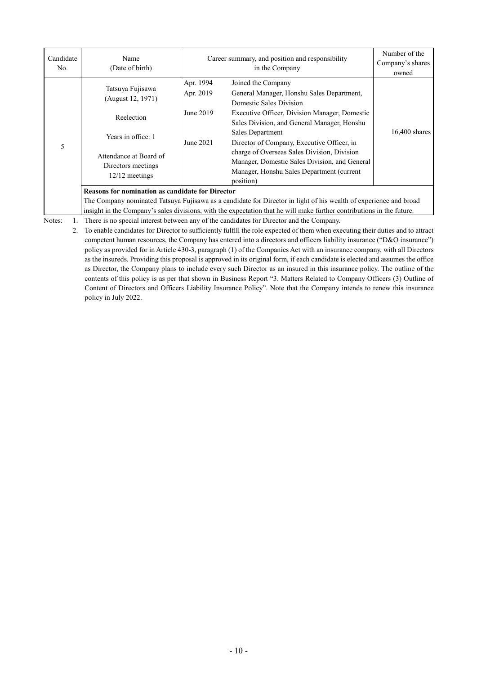| Candidate<br>No.                                                                                                                                                             | Name<br>(Date of birth)                                                                                                                       | Career summary, and position and responsibility  | Number of the<br>Company's shares<br>owned                                                                                                                                                                                                                                                                                                                                                                                    |                 |  |  |
|------------------------------------------------------------------------------------------------------------------------------------------------------------------------------|-----------------------------------------------------------------------------------------------------------------------------------------------|--------------------------------------------------|-------------------------------------------------------------------------------------------------------------------------------------------------------------------------------------------------------------------------------------------------------------------------------------------------------------------------------------------------------------------------------------------------------------------------------|-----------------|--|--|
| 5                                                                                                                                                                            | Tatsuya Fujisawa<br>(August 12, 1971)<br>Reelection<br>Years in office: 1<br>Attendance at Board of<br>Directors meetings<br>$12/12$ meetings | Apr. 1994<br>Apr. 2019<br>June 2019<br>June 2021 | Joined the Company<br>General Manager, Honshu Sales Department,<br>Domestic Sales Division<br>Executive Officer, Division Manager, Domestic<br>Sales Division, and General Manager, Honshu<br><b>Sales Department</b><br>Director of Company, Executive Officer, in<br>charge of Overseas Sales Division, Division<br>Manager, Domestic Sales Division, and General<br>Manager, Honshu Sales Department (current<br>position) | $16,400$ shares |  |  |
| <b>Reasons for nomination as candidate for Director</b><br>The Company nominated Tatsuya Fujisawa as a candidate for Director in light of his wealth of experience and broad |                                                                                                                                               |                                                  |                                                                                                                                                                                                                                                                                                                                                                                                                               |                 |  |  |
|                                                                                                                                                                              | insight in the Company's sales divisions, with the expectation that he will make further contributions in the future.                         |                                                  |                                                                                                                                                                                                                                                                                                                                                                                                                               |                 |  |  |
| Notes:                                                                                                                                                                       |                                                                                                                                               |                                                  | There is no special interest between any of the candidates for Director and the Company.                                                                                                                                                                                                                                                                                                                                      |                 |  |  |

2. To enable candidates for Director to sufficiently fulfill the role expected of them when executing their duties and to attract competent human resources, the Company has entered into a directors and officers liability insurance ("D&O insurance") policy as provided for in Article 430-3, paragraph (1) of the Companies Act with an insurance company, with all Directors as the insureds. Providing this proposal is approved in its original form, if each candidate is elected and assumes the office as Director, the Company plans to include every such Director as an insured in this insurance policy. The outline of the contents of this policy is as per that shown in Business Report "3. Matters Related to Company Officers (3) Outline of Content of Directors and Officers Liability Insurance Policy". Note that the Company intends to renew this insurance policy in July 2022.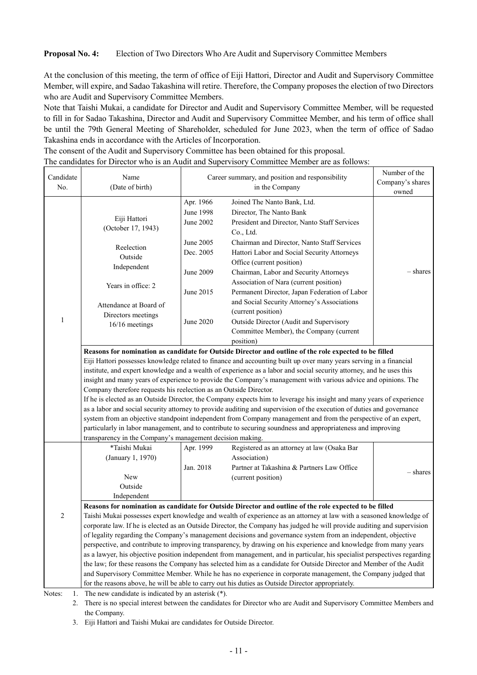#### **Proposal No. 4:** Election of Two Directors Who Are Audit and Supervisory Committee Members

At the conclusion of this meeting, the term of office of Eiji Hattori, Director and Audit and Supervisory Committee Member, will expire, and Sadao Takashina will retire. Therefore, the Company proposes the election of two Directors who are Audit and Supervisory Committee Members.

Note that Taishi Mukai, a candidate for Director and Audit and Supervisory Committee Member, will be requested to fill in for Sadao Takashina, Director and Audit and Supervisory Committee Member, and his term of office shall be until the 79th General Meeting of Shareholder, scheduled for June 2023, when the term of office of Sadao Takashina ends in accordance with the Articles of Incorporation.

The consent of the Audit and Supervisory Committee has been obtained for this proposal.

| Candidate<br>No. | Name<br>(Date of birth)                                                                                                        | ne early and for Breetor who is an <i>radia</i> and supervisory committee memoer are as follows<br>Career summary, and position and responsibility<br>in the Company |                                                                                                                                                                                                                                                                                                                                                                                                                                                                                                                                                                                                                                                                                                                                                                                                                                                                                                                                                           | Number of the<br>Company's shares |
|------------------|--------------------------------------------------------------------------------------------------------------------------------|----------------------------------------------------------------------------------------------------------------------------------------------------------------------|-----------------------------------------------------------------------------------------------------------------------------------------------------------------------------------------------------------------------------------------------------------------------------------------------------------------------------------------------------------------------------------------------------------------------------------------------------------------------------------------------------------------------------------------------------------------------------------------------------------------------------------------------------------------------------------------------------------------------------------------------------------------------------------------------------------------------------------------------------------------------------------------------------------------------------------------------------------|-----------------------------------|
|                  |                                                                                                                                |                                                                                                                                                                      |                                                                                                                                                                                                                                                                                                                                                                                                                                                                                                                                                                                                                                                                                                                                                                                                                                                                                                                                                           | owned                             |
|                  | Eiji Hattori<br>(October 17, 1943)                                                                                             | Apr. 1966<br>June 1998<br><b>June 2002</b>                                                                                                                           | Joined The Nanto Bank, Ltd.<br>Director, The Nanto Bank<br>President and Director, Nanto Staff Services<br>Co., Ltd.                                                                                                                                                                                                                                                                                                                                                                                                                                                                                                                                                                                                                                                                                                                                                                                                                                      |                                   |
|                  | Reelection<br>Outside<br>Independent                                                                                           | June 2005<br>Dec. 2005<br><b>June 2009</b>                                                                                                                           | Chairman and Director, Nanto Staff Services<br>Hattori Labor and Social Security Attorneys<br>Office (current position)<br>Chairman, Labor and Security Attorneys                                                                                                                                                                                                                                                                                                                                                                                                                                                                                                                                                                                                                                                                                                                                                                                         | – shares                          |
|                  | Years in office: 2<br>Attendance at Board of                                                                                   | June 2015                                                                                                                                                            | Association of Nara (current position)<br>Permanent Director, Japan Federation of Labor<br>and Social Security Attorney's Associations                                                                                                                                                                                                                                                                                                                                                                                                                                                                                                                                                                                                                                                                                                                                                                                                                    |                                   |
| 1                | Directors meetings<br>16/16 meetings                                                                                           | June 2020                                                                                                                                                            | (current position)<br>Outside Director (Audit and Supervisory<br>Committee Member), the Company (current<br>position)                                                                                                                                                                                                                                                                                                                                                                                                                                                                                                                                                                                                                                                                                                                                                                                                                                     |                                   |
|                  | Company therefore requests his reelection as an Outside Director.<br>transparency in the Company's management decision making. |                                                                                                                                                                      | Reasons for nomination as candidate for Outside Director and outline of the role expected to be filled<br>Eiji Hattori possesses knowledge related to finance and accounting built up over many years serving in a financial<br>institute, and expert knowledge and a wealth of experience as a labor and social security attorney, and he uses this<br>insight and many years of experience to provide the Company's management with various advice and opinions. The<br>If he is elected as an Outside Director, the Company expects him to leverage his insight and many years of experience<br>as a labor and social security attorney to provide auditing and supervision of the execution of duties and governance<br>system from an objective standpoint independent from Company management and from the perspective of an expert,<br>particularly in labor management, and to contribute to securing soundness and appropriateness and improving |                                   |
|                  | *Taishi Mukai<br>(January 1, 1970)<br>New<br>Outside<br>Independent                                                            | Apr. 1999<br>Jan. 2018                                                                                                                                               | Registered as an attorney at law (Osaka Bar<br>Association)<br>Partner at Takashina & Partners Law Office<br>(current position)                                                                                                                                                                                                                                                                                                                                                                                                                                                                                                                                                                                                                                                                                                                                                                                                                           | - shares                          |
|                  |                                                                                                                                |                                                                                                                                                                      | Reasons for nomination as candidate for Outside Director and outline of the role expected to be filled                                                                                                                                                                                                                                                                                                                                                                                                                                                                                                                                                                                                                                                                                                                                                                                                                                                    |                                   |
| $\overline{2}$   |                                                                                                                                |                                                                                                                                                                      | Taishi Mukai possesses expert knowledge and wealth of experience as an attorney at law with a seasoned knowledge of<br>corporate law. If he is elected as an Outside Director, the Company has judged he will provide auditing and supervision<br>of legality regarding the Company's management decisions and governance system from an independent, objective<br>perspective, and contribute to improving transparency, by drawing on his experience and knowledge from many years<br>as a lawyer, his objective position independent from management, and in particular, his specialist perspectives regarding<br>the law; for these reasons the Company has selected him as a candidate for Outside Director and Member of the Audit<br>and Supervisory Committee Member. While he has no experience in corporate management, the Company judged that                                                                                                 |                                   |
| Notes:<br>1.     | The new candidate is indicated by an asterisk (*).                                                                             |                                                                                                                                                                      | for the reasons above, he will be able to carry out his duties as Outside Director appropriately.                                                                                                                                                                                                                                                                                                                                                                                                                                                                                                                                                                                                                                                                                                                                                                                                                                                         |                                   |

The candidates for Director who is an Audit and Supervisory Committee Member are as follows:

2. There is no special interest between the candidates for Director who are Audit and Supervisory Committee Members and the Company.

3. Eiji Hattori and Taishi Mukai are candidates for Outside Director.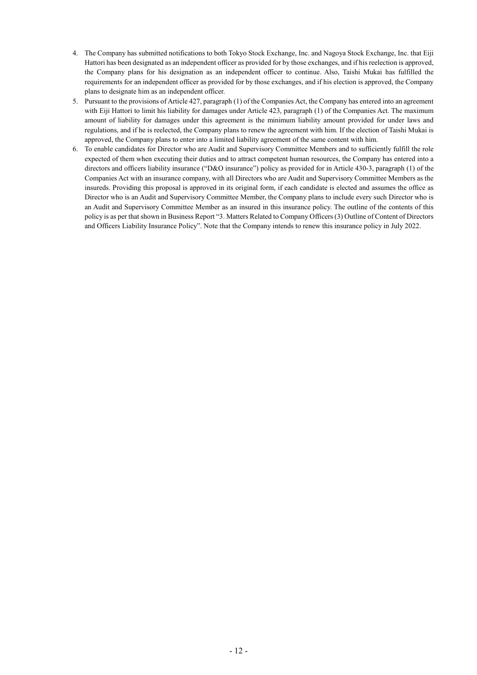- 4. The Company has submitted notifications to both Tokyo Stock Exchange, Inc. and Nagoya Stock Exchange, Inc. that Eiji Hattori has been designated as an independent officer as provided for by those exchanges, and if his reelection is approved, the Company plans for his designation as an independent officer to continue. Also, Taishi Mukai has fulfilled the requirements for an independent officer as provided for by those exchanges, and if his election is approved, the Company plans to designate him as an independent officer.
- 5. Pursuant to the provisions of Article 427, paragraph (1) of the Companies Act, the Company has entered into an agreement with Eiji Hattori to limit his liability for damages under Article 423, paragraph (1) of the Companies Act. The maximum amount of liability for damages under this agreement is the minimum liability amount provided for under laws and regulations, and if he is reelected, the Company plans to renew the agreement with him. If the election of Taishi Mukai is approved, the Company plans to enter into a limited liability agreement of the same content with him.
- 6. To enable candidates for Director who are Audit and Supervisory Committee Members and to sufficiently fulfill the role expected of them when executing their duties and to attract competent human resources, the Company has entered into a directors and officers liability insurance ("D&O insurance") policy as provided for in Article 430-3, paragraph (1) of the Companies Act with an insurance company, with all Directors who are Audit and Supervisory Committee Members as the insureds. Providing this proposal is approved in its original form, if each candidate is elected and assumes the office as Director who is an Audit and Supervisory Committee Member, the Company plans to include every such Director who is an Audit and Supervisory Committee Member as an insured in this insurance policy. The outline of the contents of this policy is as per that shown in Business Report "3. Matters Related to Company Officers (3) Outline of Content of Directors and Officers Liability Insurance Policy". Note that the Company intends to renew this insurance policy in July 2022.